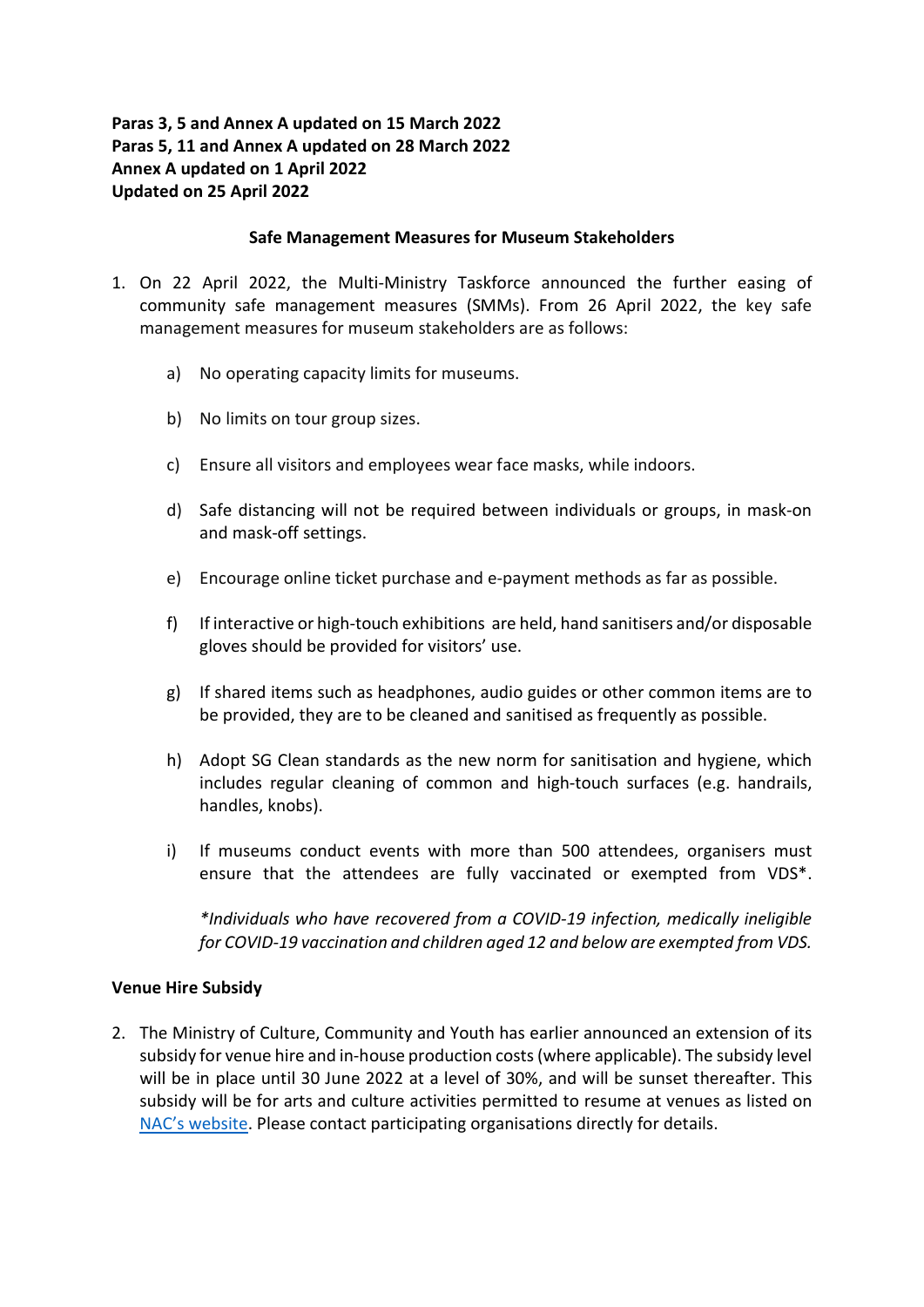# Paras 3, 5 and Annex A updated on 15 March 2022 Paras 5, 11 and Annex A updated on 28 March 2022 Annex A updated on 1 April 2022 Updated on 25 April 2022

## Safe Management Measures for Museum Stakeholders

- 1. On 22 April 2022, the Multi-Ministry Taskforce announced the further easing of community safe management measures (SMMs). From 26 April 2022, the key safe management measures for museum stakeholders are as follows:
	- a) No operating capacity limits for museums.
	- b) No limits on tour group sizes.
	- c) Ensure all visitors and employees wear face masks, while indoors.
	- d) Safe distancing will not be required between individuals or groups, in mask-on and mask-off settings.
	- e) Encourage online ticket purchase and e-payment methods as far as possible.
	- f) If interactive or high-touch exhibitions are held, hand sanitisers and/or disposable gloves should be provided for visitors' use.
	- g) If shared items such as headphones, audio guides or other common items are to be provided, they are to be cleaned and sanitised as frequently as possible.
	- h) Adopt SG Clean standards as the new norm for sanitisation and hygiene, which includes regular cleaning of common and high-touch surfaces (e.g. handrails, handles, knobs).
	- i) If museums conduct events with more than 500 attendees, organisers must ensure that the attendees are fully vaccinated or exempted from VDS\*.

\*Individuals who have recovered from a COVID-19 infection, medically ineligible for COVID-19 vaccination and children aged 12 and below are exempted from VDS.

## Venue Hire Subsidy

2. The Ministry of Culture, Community and Youth has earlier announced an extension of its subsidy for venue hire and in-house production costs (where applicable). The subsidy level will be in place until 30 June 2022 at a level of 30%, and will be sunset thereafter. This subsidy will be for arts and culture activities permitted to resume at venues as listed on NAC's website. Please contact participating organisations directly for details.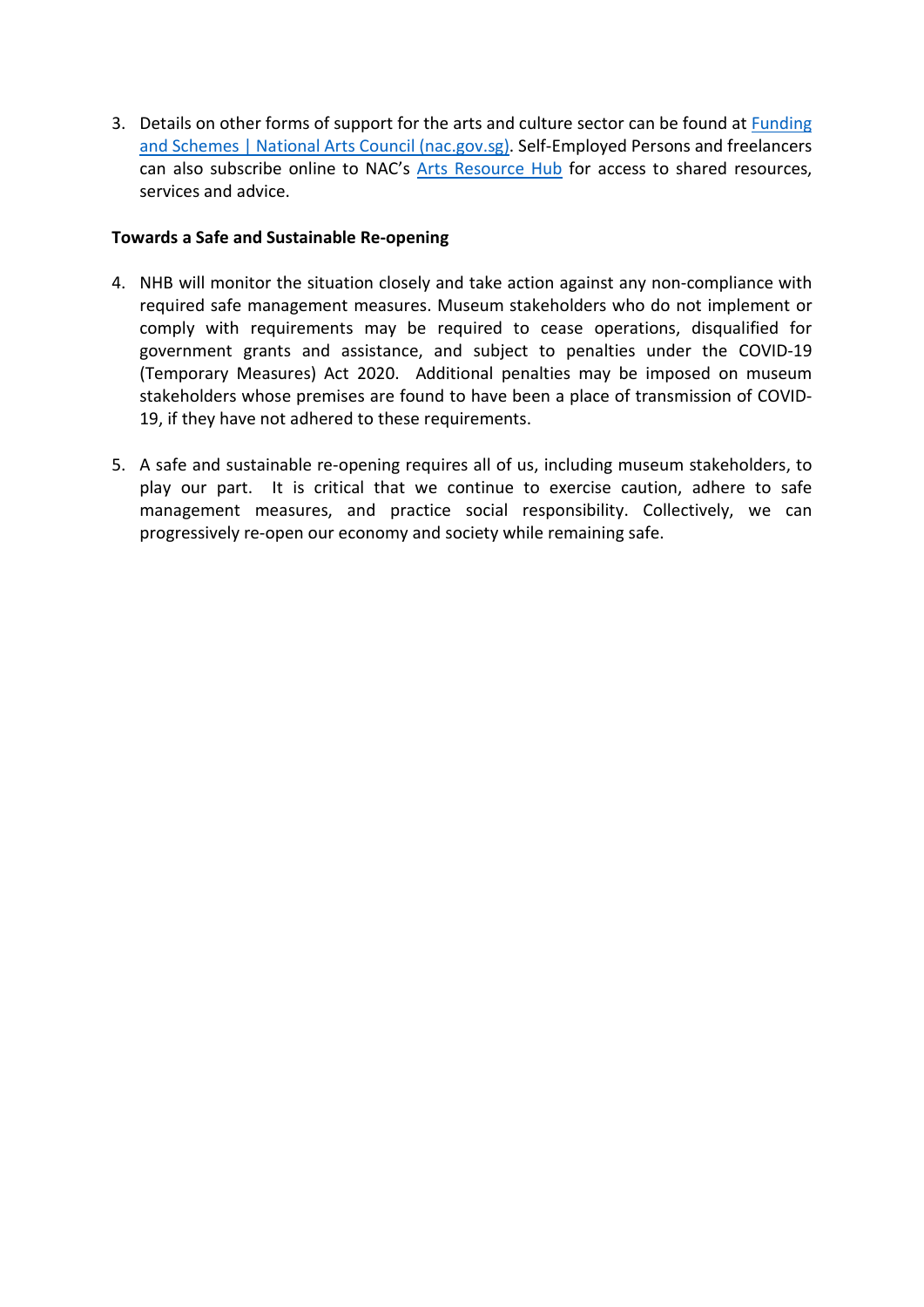3. Details on other forms of support for the arts and culture sector can be found at Funding and Schemes | National Arts Council (nac.gov.sg). Self-Employed Persons and freelancers can also subscribe online to NAC's Arts Resource Hub for access to shared resources, services and advice.

# Towards a Safe and Sustainable Re-opening

- 4. NHB will monitor the situation closely and take action against any non-compliance with required safe management measures. Museum stakeholders who do not implement or comply with requirements may be required to cease operations, disqualified for government grants and assistance, and subject to penalties under the COVID-19 (Temporary Measures) Act 2020. Additional penalties may be imposed on museum stakeholders whose premises are found to have been a place of transmission of COVID-19, if they have not adhered to these requirements.
- 5. A safe and sustainable re-opening requires all of us, including museum stakeholders, to play our part. It is critical that we continue to exercise caution, adhere to safe management measures, and practice social responsibility. Collectively, we can progressively re-open our economy and society while remaining safe.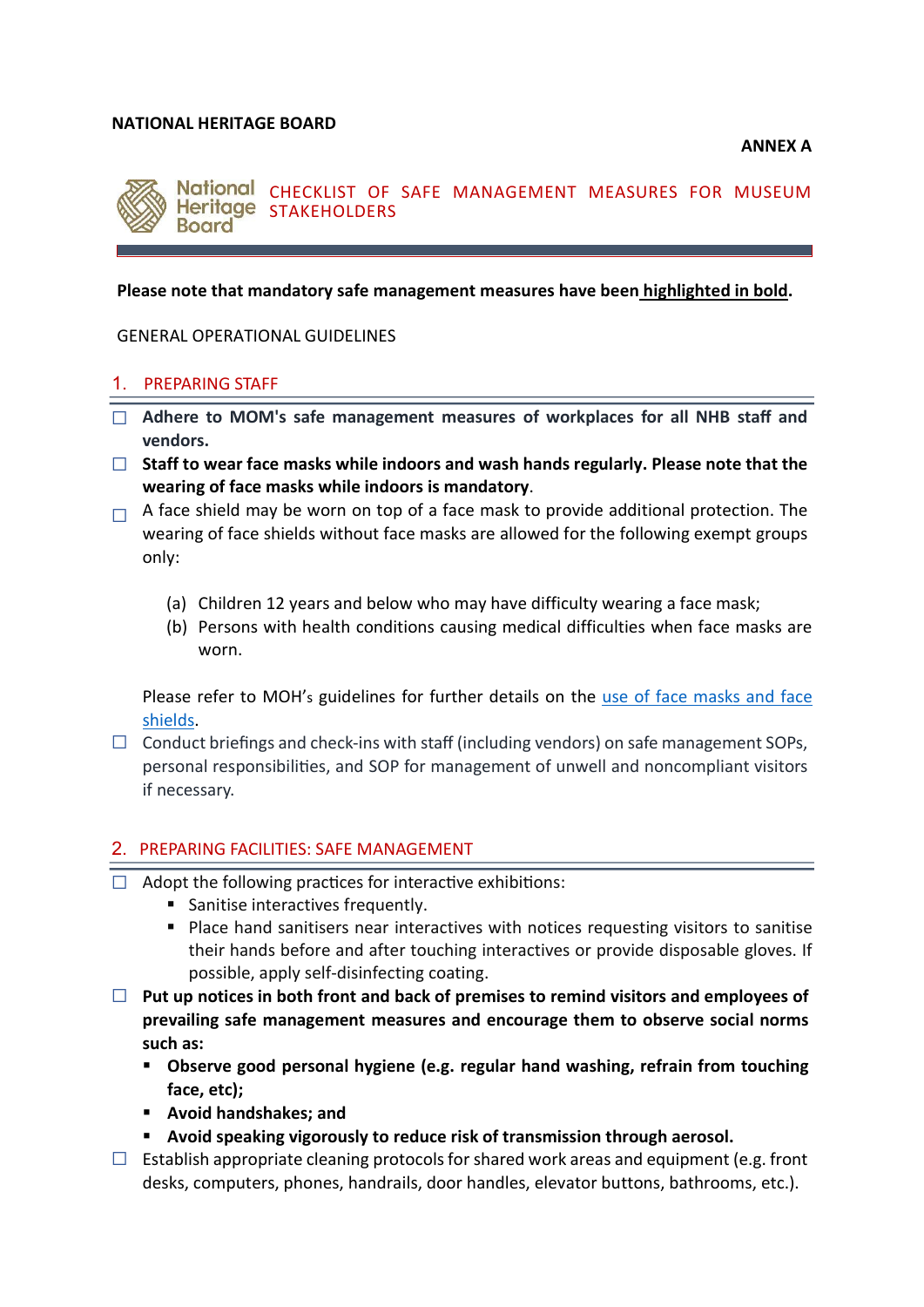### NATIONAL HERITAGE BOARD

ANNEX A



CHECKLIST OF SAFE MANAGEMENT MEASURES FOR MUSEUM Heritage STAKEHOLDERS

### Please note that mandatory safe management measures have been highlighted in bold.

GENERAL OPERATIONAL GUIDELINES

#### 1. PREPARING STAFF

- □ Adhere to MOM's safe management measures of workplaces for all NHB staff and vendors.
- $\Box$  Staff to wear face masks while indoors and wash hands regularly. Please note that the wearing of face masks while indoors is mandatory.
- $\Box$  A face shield may be worn on top of a face mask to provide additional protection. The wearing of face shields without face masks are allowed for the following exempt groups only:
	- (a) Children 12 years and below who may have difficulty wearing a face mask;
	- (b) Persons with health conditions causing medical difficulties when face masks are worn.

Please refer to MOH's guidelines for further details on the use of face masks and face shields.

 $\Box$  Conduct briefings and check-ins with staff (including vendors) on safe management SOPs, personal responsibilities, and SOP for management of unwell and noncompliant visitors if necessary.

### 2. PREPARING FACILITIES: SAFE MANAGEMENT

- $\Box$  Adopt the following practices for interactive exhibitions:
	- Sanitise interactives frequently.
	- Place hand sanitisers near interactives with notices requesting visitors to sanitise their hands before and after touching interactives or provide disposable gloves. If possible, apply self-disinfecting coating.
- $\Box$  Put up notices in both front and back of premises to remind visitors and employees of prevailing safe management measures and encourage them to observe social norms such as:
	- Observe good personal hygiene (e.g. regular hand washing, refrain from touching face, etc);
	- Avoid handshakes; and
	- Avoid speaking vigorously to reduce risk of transmission through aerosol.
- $\Box$  Establish appropriate cleaning protocols for shared work areas and equipment (e.g. front desks, computers, phones, handrails, door handles, elevator buttons, bathrooms, etc.).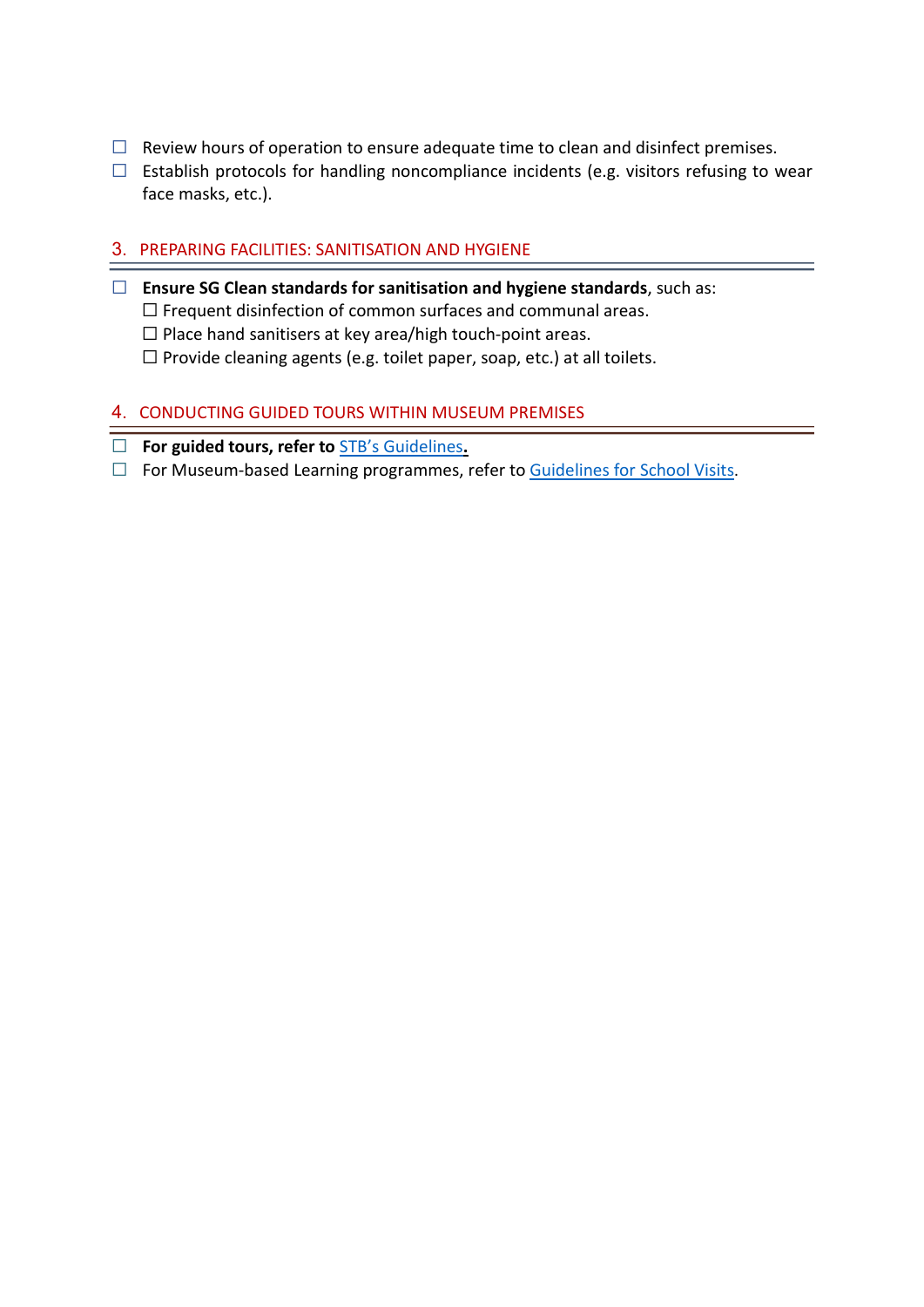- $\Box$  Review hours of operation to ensure adequate time to clean and disinfect premises.
- $\Box$  Establish protocols for handling noncompliance incidents (e.g. visitors refusing to wear face masks, etc.).

# 3. PREPARING FACILITIES: SANITISATION AND HYGIENE

- ☐ Ensure SG Clean standards for sanitisation and hygiene standards, such as: ☐ Frequent disinfection of common surfaces and communal areas. ☐ Place hand sanitisers at key area/high touch-point areas.
	- ☐ Provide cleaning agents (e.g. toilet paper, soap, etc.) at all toilets.

## 4. CONDUCTING GUIDED TOURS WITHIN MUSEUM PREMISES

- ☐ For guided tours, refer to STB's Guidelines.
- □ For Museum-based Learning programmes, refer to Guidelines for School Visits.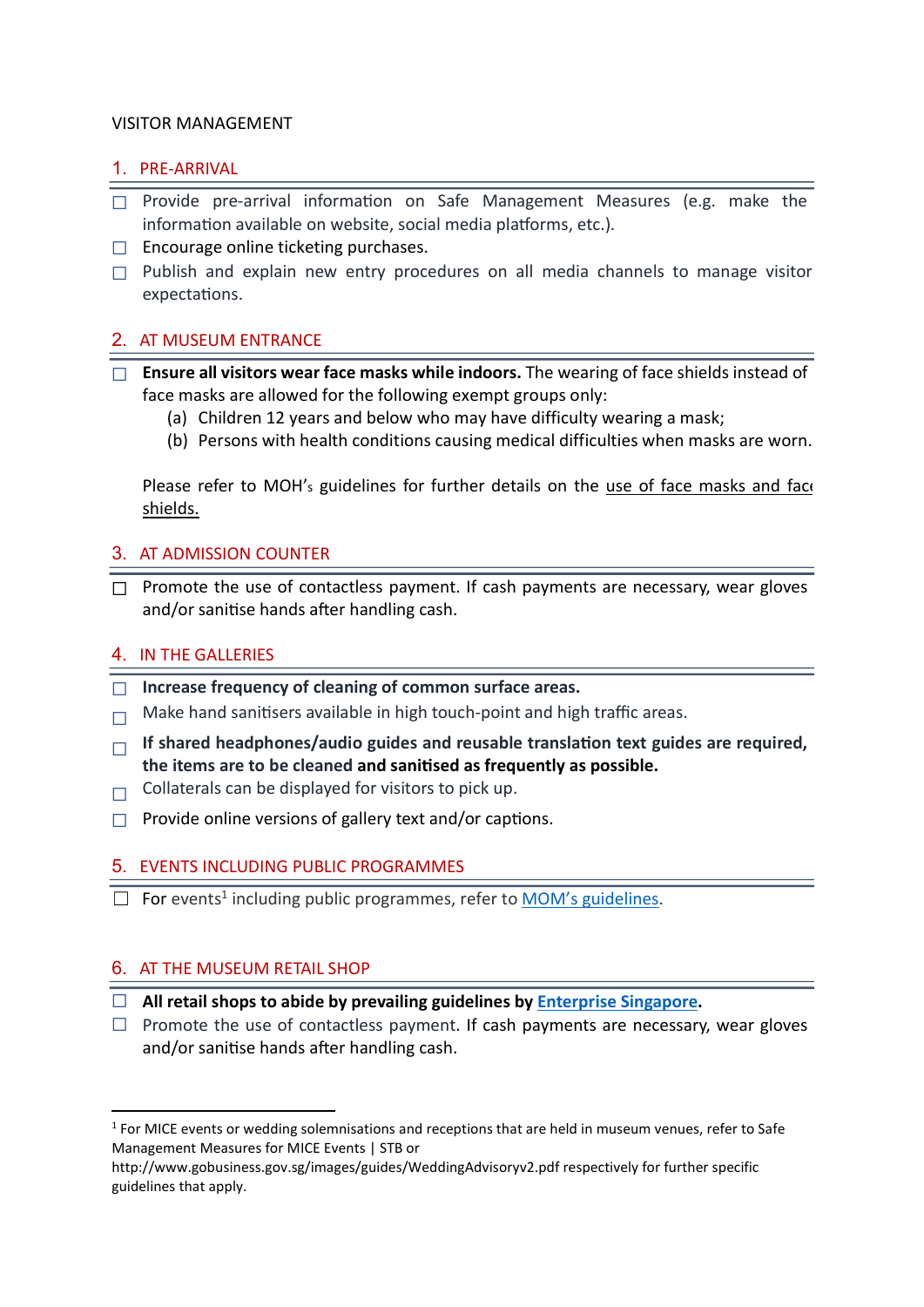## VISITOR MANAGEMENT

# 1. PRE-ARRIVAL

- $\Box$  Provide pre-arrival information on Safe Management Measures (e.g. make the information available on website, social media platforms, etc.).
- □ Encourage online ticketing purchases.
- $\Box$  Publish and explain new entry procedures on all media channels to manage visitor expectations.

# 2. AT MUSEUM ENTRANCE

- $\Box$  Ensure all visitors wear face masks while indoors. The wearing of face shields instead of face masks are allowed for the following exempt groups only:
	- (a) Children 12 years and below who may have difficulty wearing a mask;
	- (b) Persons with health conditions causing medical difficulties when masks are worn.

Please refer to MOH's guidelines for further details on the use of face masks and face shields.

## 3. AT ADMISSION COUNTER

 $\Box$  Promote the use of contactless payment. If cash payments are necessary, wear gloves and/or sanitise hands after handling cash.

# 4. IN THE GALLERIES

- ☐ Increase frequency of cleaning of common surface areas.
- $\Box$  Make hand sanitisers available in high touch-point and high traffic areas.
- $\Box$  If shared headphones/audio guides and reusable translation text guides are required. the items are to be cleaned and sanitised as frequently as possible.
- $\Box$  Collaterals can be displayed for visitors to pick up.
- $\Box$  Provide online versions of gallery text and/or captions.

# 5. EVENTS INCLUDING PUBLIC PROGRAMMES

□ For events<sup>1</sup> including public programmes, refer to **MOM's guidelines**.

# 6. AT THE MUSEUM RETAIL SHOP

- $\Box$  All retail shops to abide by prevailing guidelines by Enterprise Singapore.
- $\Box$  Promote the use of contactless payment. If cash payments are necessary, wear gloves and/or sanitise hands after handling cash.

<sup>&</sup>lt;sup>1</sup> For MICE events or wedding solemnisations and receptions that are held in museum venues, refer to Safe Management Measures for MICE Events | STB or

http://www.gobusiness.gov.sg/images/guides/WeddingAdvisoryv2.pdf respectively for further specific guidelines that apply.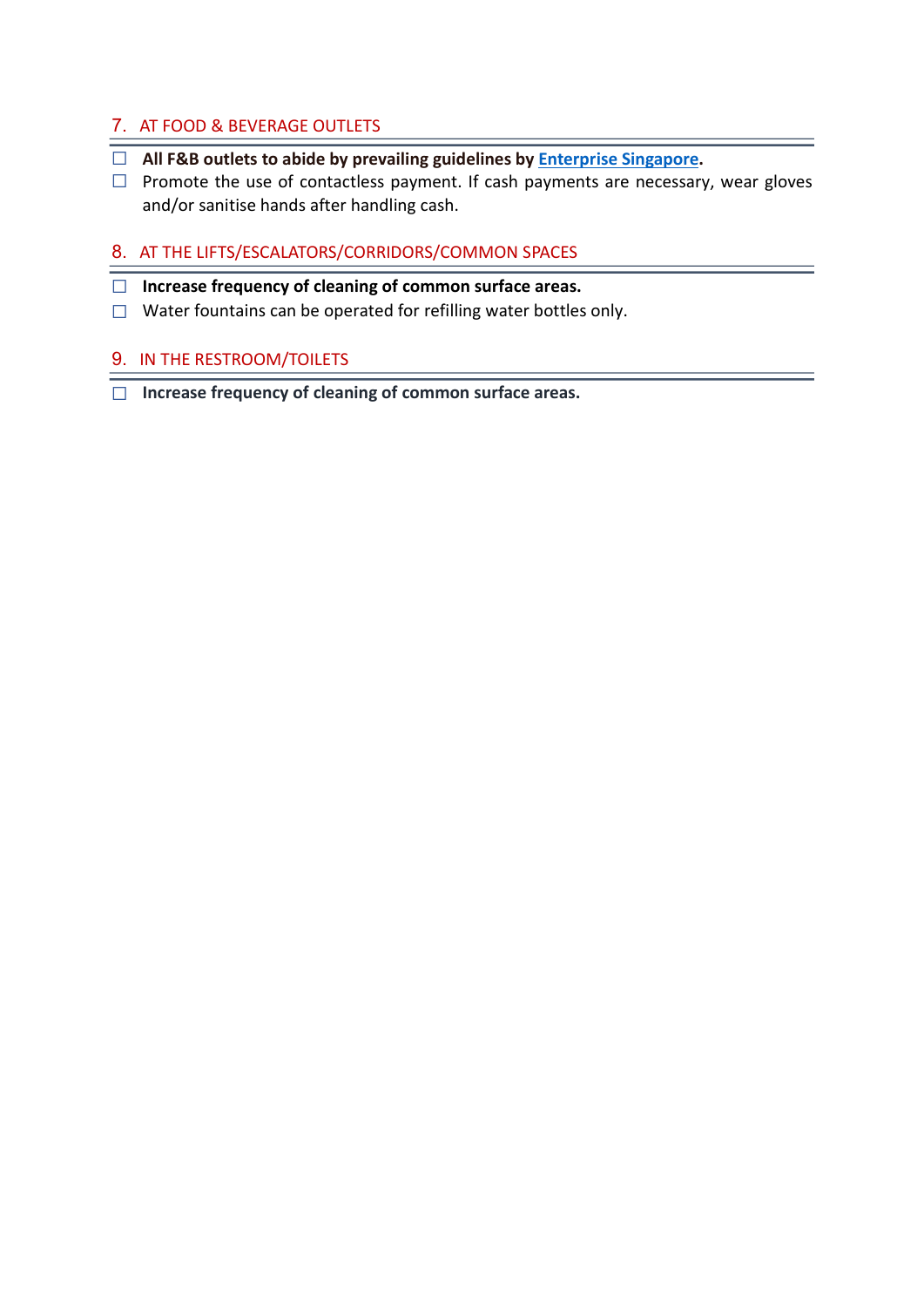# 7. AT FOOD & BEVERAGE OUTLETS

- □ All F&B outlets to abide by prevailing guidelines by **Enterprise Singapore**.
- $\Box$  Promote the use of contactless payment. If cash payments are necessary, wear gloves and/or sanitise hands after handling cash.

# 8. AT THE LIFTS/ESCALATORS/CORRIDORS/COMMON SPACES

- □ Increase frequency of cleaning of common surface areas.
- ☐ Water fountains can be operated for refilling water bottles only.

# 9. IN THE RESTROOM/TOILETS

☐ Increase frequency of cleaning of common surface areas.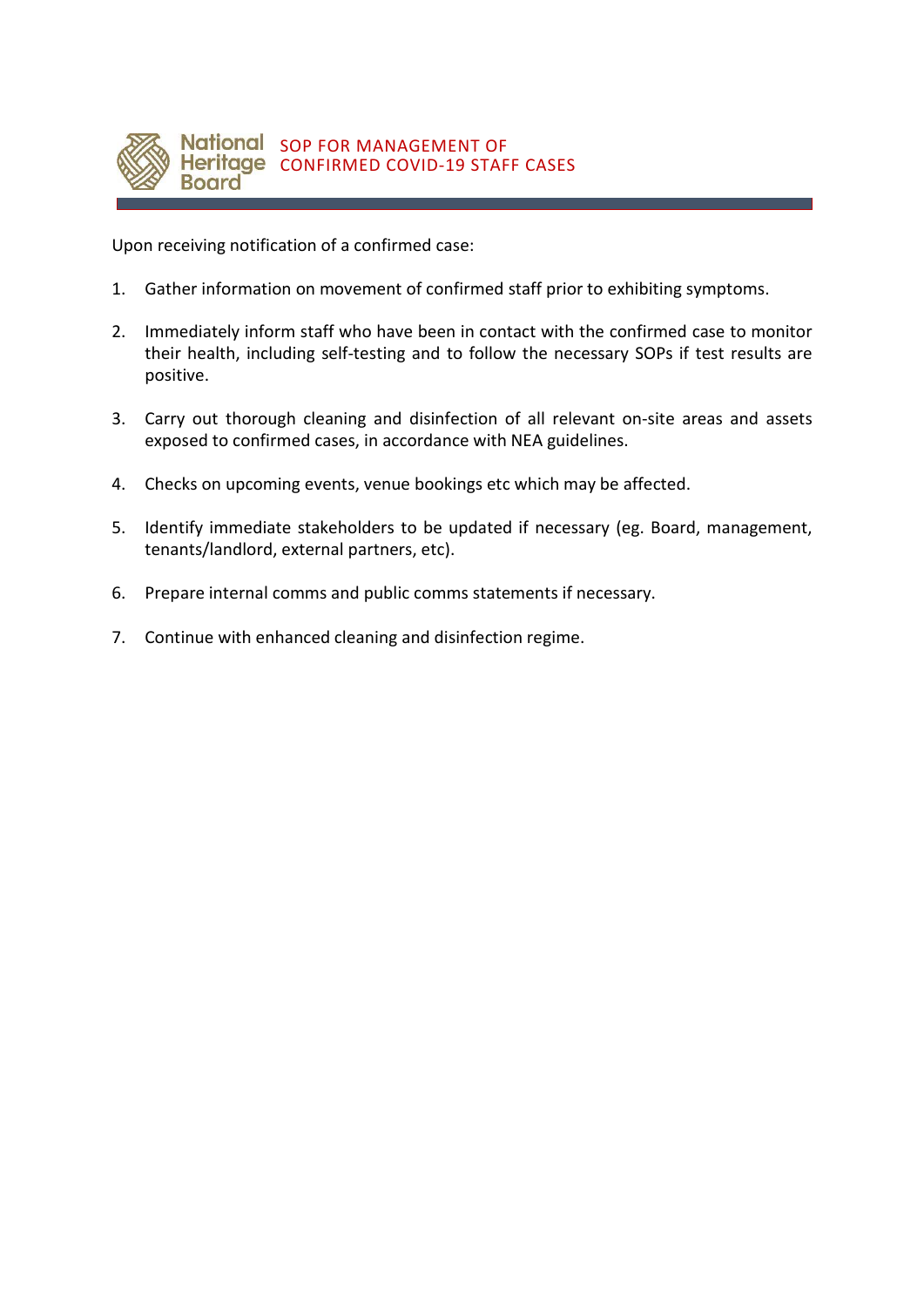

Upon receiving notification of a confirmed case:

- 1. Gather information on movement of confirmed staff prior to exhibiting symptoms.
- 2. Immediately inform staff who have been in contact with the confirmed case to monitor their health, including self-testing and to follow the necessary SOPs if test results are positive.
- 3. Carry out thorough cleaning and disinfection of all relevant on-site areas and assets exposed to confirmed cases, in accordance with NEA guidelines.
- 4. Checks on upcoming events, venue bookings etc which may be affected.
- 5. Identify immediate stakeholders to be updated if necessary (eg. Board, management, tenants/landlord, external partners, etc).
- 6. Prepare internal comms and public comms statements if necessary.
- 7. Continue with enhanced cleaning and disinfection regime.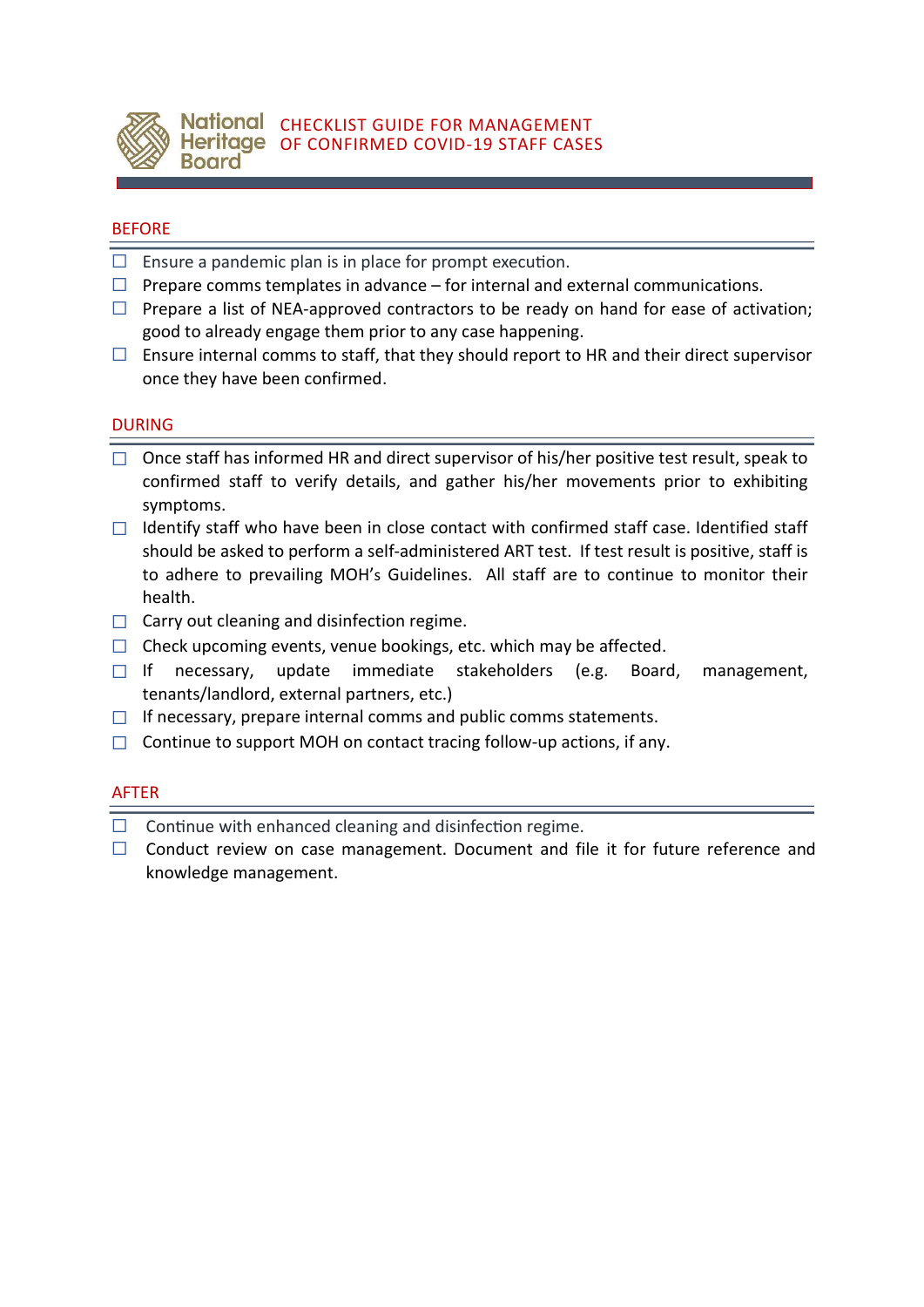

## BEFORE

- $\Box$  Ensure a pandemic plan is in place for prompt execution.
- $\Box$  Prepare comms templates in advance for internal and external communications.
- $\Box$  Prepare a list of NEA-approved contractors to be ready on hand for ease of activation; good to already engage them prior to any case happening.
- $\Box$  Ensure internal comms to staff, that they should report to HR and their direct supervisor once they have been confirmed.

## DURING

- $\Box$  Once staff has informed HR and direct supervisor of his/her positive test result, speak to confirmed staff to verify details, and gather his/her movements prior to exhibiting symptoms.
- $\Box$  Identify staff who have been in close contact with confirmed staff case. Identified staff should be asked to perform a self-administered ART test. If test result is positive, staff is to adhere to prevailing MOH's Guidelines. All staff are to continue to monitor their health.
- $\Box$  Carry out cleaning and disinfection regime.
- $\Box$  Check upcoming events, venue bookings, etc. which may be affected.
- ☐ If necessary, update immediate stakeholders (e.g. Board, management, tenants/landlord, external partners, etc.)
- $\Box$  If necessary, prepare internal comms and public comms statements.
- $\Box$  Continue to support MOH on contact tracing follow-up actions, if any.

#### AFTER

- $\Box$  Continue with enhanced cleaning and disinfection regime.
- ☐ Conduct review on case management. Document and file it for future reference and knowledge management.